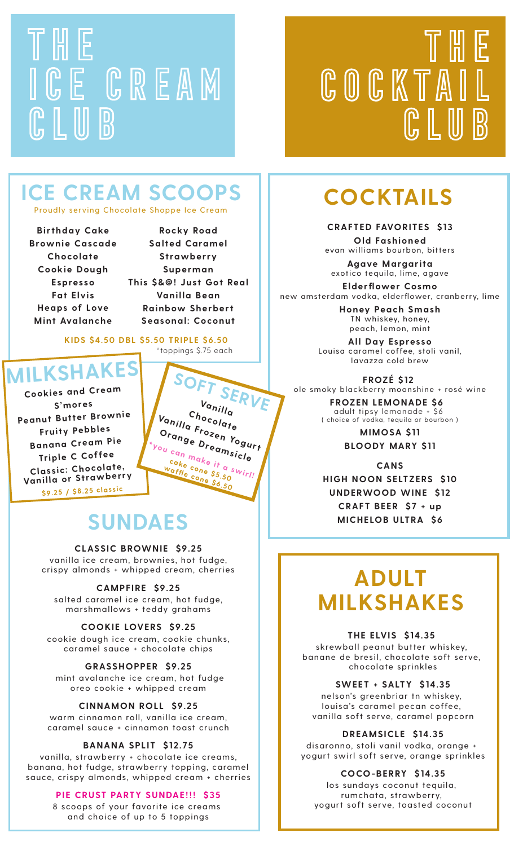# T H E E GREAM **LUB**

# T H E COCKTAI CLUB

# **ICE CREAM SCOOPS**

Proudly serving Chocolate Shoppe Ice Cream

**Birthday Cake Brownie Cascade Chocolate Cookie Dough Espresso Fat Elvis Heaps of Love Mint Avalanche**

**Rocky Road Salted Caramel Strawberry Superman This \$&@! Just Got Real Vanilla Bean Rainbow Sherbert Seasonal: Coconut**

SOFT SERV

**Chocolate Vanilla Frozen Yogurt Orange Dreamsicle**

\*y<sub>ou can make it</sub><br>
cake cone it a swirl!<br> *waffle* cone \$5.50<sup>b/r/1</sup> **Cake Cone \$5.50**<br> **Waffle Cone \$5.50**<br> **Waffle Cone \$6.50** 

\*toppings \$.75 each **KIDS \$4.50 DBL \$5.50 TRIPLE \$6.50**

### **MILKSHAK**

**Cookies and Cream S'mores Peanut Butter Brownie Fruity Pebbles Banana Cream Pie Triple C Coffee Classic: Chocolate, Vanilla or Strawberry \$9.25 / \$8.25 classic**

### **SUNDAES**

**CLASSIC BROWNIE \$9.25** vanilla ice cream, brownies, hot fudge, crispy almonds + whipped cream, cherries

**CAMPFIRE \$9.25** salted caramel ice cream, hot fudge, marshmallows + teddy grahams

**COOKIE LOVERS \$9.25** cookie dough ice cream, cookie chunks, caramel sauce + chocolate chips

**GRASSHOPPER \$9.25** mint avalanche ice cream, hot fudge oreo cookie + whipped cream

#### **CINNAMON ROLL \$9.25**

warm cinnamon roll, vanilla ice cream, caramel sauce + cinnamon toast crunch

#### **BANANA SPLIT \$12.75**

vanilla, strawberry + chocolate ice creams, banana, hot fudge, strawberry topping, caramel sauce, crispy almonds, whipped cream + cherries

#### **PIE CRUST PARTY SUNDAE!!! \$35**

8 scoops of your favorite ice creams and choice of up to 5 toppings

## **COCKTAILS**

#### **CRAFTED FAVORITES \$13**

**Old Fashioned** evan williams bourbon, bitters

**Agave Margarita** exotico tequila, lime, agave **Elderflower Cosmo**

new amsterdam vodka, elderflower, cranberry, lime

**Honey Peach Smash** TN whiskey, honey, peach, lemon, mint

**All Day Espresso** Louisa caramel coffee, stoli vanil, lavazza cold brew

**FROZÉ \$12**  ole smoky blackberry moonshine + rosé wine

> **FROZEN LEMONADE \$6**  adult tipsy lemonade + \$6 ( choice of vodka, tequila or bourbon )

> > **MIMOSA \$11 BLOODY MARY \$11**

**CANS HIGH NOON SELTZERS \$10 UNDERWOOD WINE \$12 CRAFT BEER \$7 + up MICHELOB ULTRA \$6**

### **ADULT MILKSHAKES**

**THE ELVIS \$14.35**  skrewball peanut butter whiskey, banane de bresil, chocolate soft serve, chocolate sprinkles

**SWEET + SALTY \$14.35** nelson's greenbriar tn whiskey, louisa's caramel pecan coffee, vanilla soft serve, caramel popcorn

**DREAMSICLE \$14.35** disaronno, stoli vanil vodka, orange + yogurt swirl soft serve, orange sprinkles

**COCO-BERRY \$14.35** los sundays coconut tequila, rumchata, strawberry, yogurt soft serve, toasted coconut